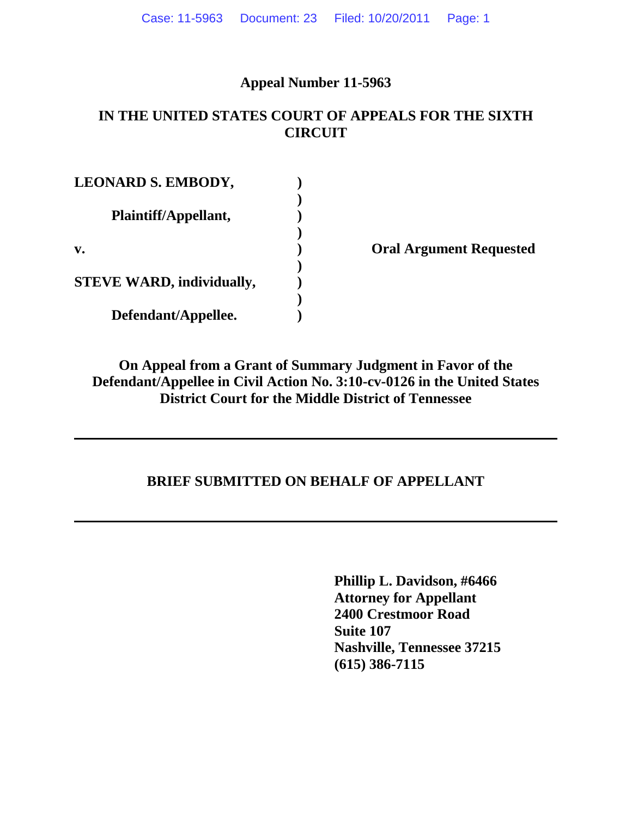## **Appeal Number 11-5963**

## **IN THE UNITED STATES COURT OF APPEALS FOR THE SIXTH CIRCUIT**

| <b>LEONARD S. EMBODY,</b>        |  |
|----------------------------------|--|
| Plaintiff/Appellant,             |  |
| v.                               |  |
| <b>STEVE WARD, individually,</b> |  |
| Defendant/Appellee.              |  |

**v. ) Oral Argument Requested**

**On Appeal from a Grant of Summary Judgment in Favor of the Defendant/Appellee in Civil Action No. 3:10-cv-0126 in the United States District Court for the Middle District of Tennessee**

## **BRIEF SUBMITTED ON BEHALF OF APPELLANT**

**Phillip L. Davidson, #6466 Attorney for Appellant 2400 Crestmoor Road Suite 107 Nashville, Tennessee 37215 (615) 386-7115**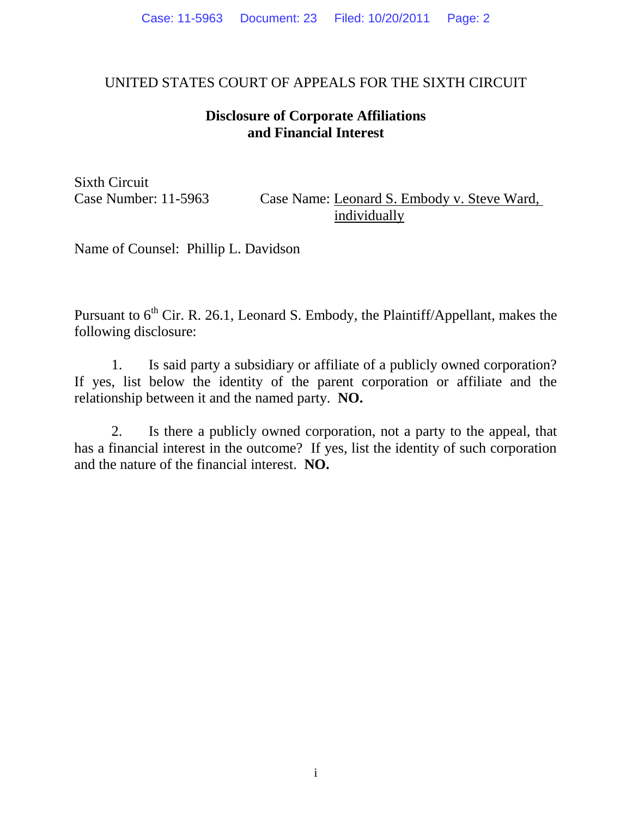## UNITED STATES COURT OF APPEALS FOR THE SIXTH CIRCUIT

## **Disclosure of Corporate Affiliations and Financial Interest**

Sixth Circuit

Case Number: 11-5963 Case Name: Leonard S. Embody v. Steve Ward, individually

Name of Counsel: Phillip L. Davidson

Pursuant to 6<sup>th</sup> Cir. R. 26.1, Leonard S. Embody, the Plaintiff/Appellant, makes the following disclosure:

1. Is said party a subsidiary or affiliate of a publicly owned corporation? If yes, list below the identity of the parent corporation or affiliate and the relationship between it and the named party. **NO.**

2. Is there a publicly owned corporation, not a party to the appeal, that has a financial interest in the outcome? If yes, list the identity of such corporation and the nature of the financial interest. **NO.**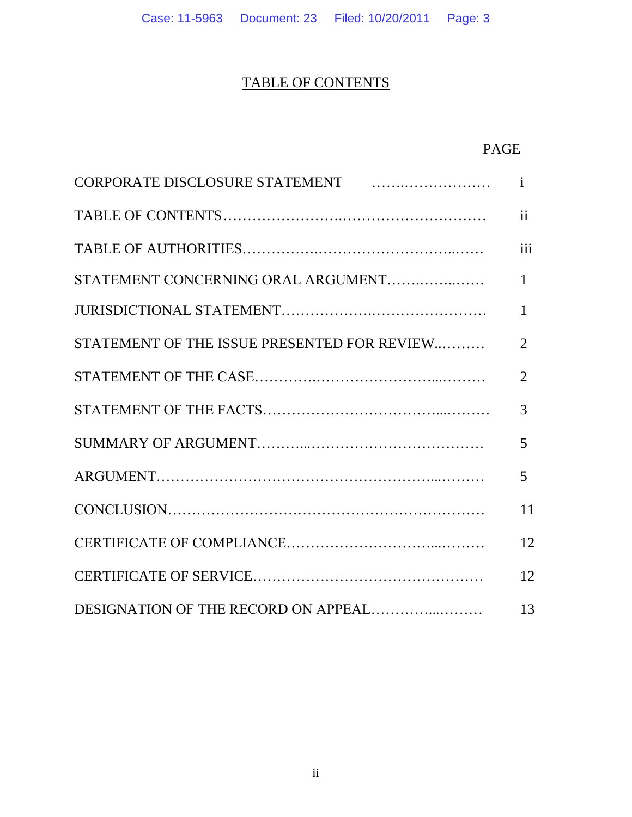## TABLE OF CONTENTS

## PAGE

| CORPORATE DISCLOSURE STATEMENT FINDING CORPORATE DISCLOSURE STATEMENT | $\mathbf{i}$   |
|-----------------------------------------------------------------------|----------------|
|                                                                       | $\mathbf{ii}$  |
|                                                                       | iii            |
| STATEMENT CONCERNING ORAL ARGUMENT                                    | $\mathbf{1}$   |
|                                                                       | $\mathbf{1}$   |
| STATEMENT OF THE ISSUE PRESENTED FOR REVIEW                           | 2              |
|                                                                       | $\overline{2}$ |
|                                                                       | 3              |
|                                                                       | 5              |
|                                                                       | 5              |
|                                                                       | 11             |
|                                                                       | 12             |
|                                                                       | 12             |
|                                                                       | 13             |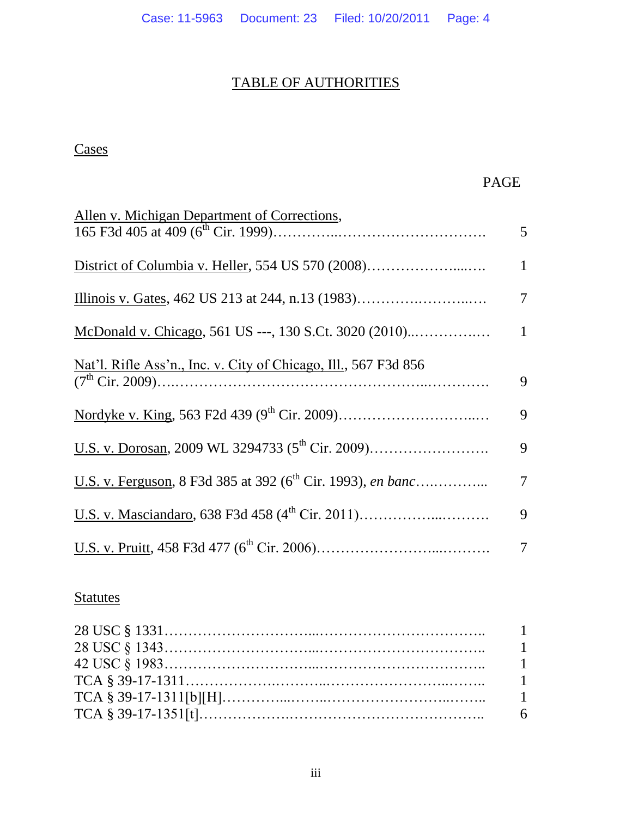## TABLE OF AUTHORITIES

## **Cases**

## PAGE

| Allen v. Michigan Department of Corrections,                                   |                |
|--------------------------------------------------------------------------------|----------------|
|                                                                                | 5 <sup>5</sup> |
|                                                                                | $\mathbf{1}$   |
|                                                                                | 7              |
|                                                                                | $\mathbf{1}$   |
| Nat'l. Rifle Ass'n., Inc. v. City of Chicago, Ill., 567 F3d 856                | 9              |
|                                                                                | 9              |
|                                                                                | 9              |
| U.S. v. Ferguson, 8 F3d 385 at 392 (6 <sup>th</sup> Cir. 1993), <i>en banc</i> | 7              |
|                                                                                | 9              |
|                                                                                | 7              |

## **Statutes**

| $42 \text{ USC} \& 1983 \dots 1$ |     |
|----------------------------------|-----|
|                                  |     |
|                                  |     |
|                                  | - 6 |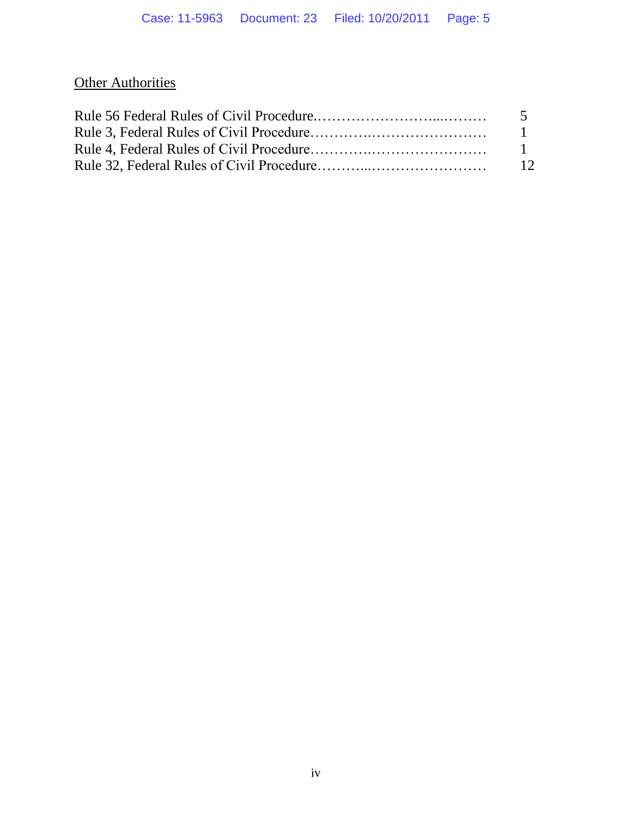## **Other Authorities**

| $\sqrt{5}$     |
|----------------|
|                |
| $\blacksquare$ |
| 12             |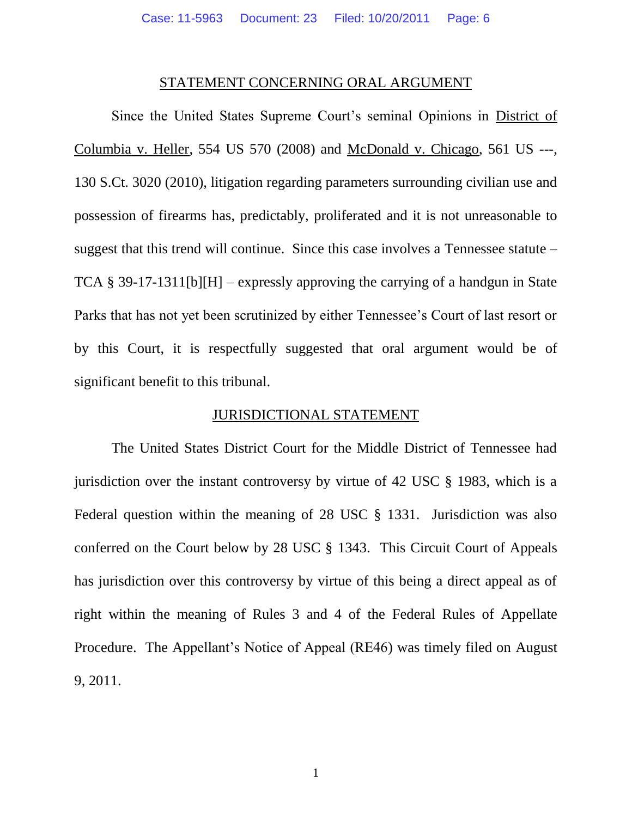#### STATEMENT CONCERNING ORAL ARGUMENT

Since the United States Supreme Court's seminal Opinions in District of Columbia v. Heller, 554 US 570 (2008) and McDonald v. Chicago, 561 US ---, 130 S.Ct. 3020 (2010), litigation regarding parameters surrounding civilian use and possession of firearms has, predictably, proliferated and it is not unreasonable to suggest that this trend will continue. Since this case involves a Tennessee statute – TCA § 39-17-1311[b][H] – expressly approving the carrying of a handgun in State Parks that has not yet been scrutinized by either Tennessee's Court of last resort or by this Court, it is respectfully suggested that oral argument would be of significant benefit to this tribunal.

### JURISDICTIONAL STATEMENT

The United States District Court for the Middle District of Tennessee had jurisdiction over the instant controversy by virtue of 42 USC § 1983, which is a Federal question within the meaning of 28 USC § 1331. Jurisdiction was also conferred on the Court below by 28 USC § 1343. This Circuit Court of Appeals has jurisdiction over this controversy by virtue of this being a direct appeal as of right within the meaning of Rules 3 and 4 of the Federal Rules of Appellate Procedure. The Appellant's Notice of Appeal (RE46) was timely filed on August 9, 2011.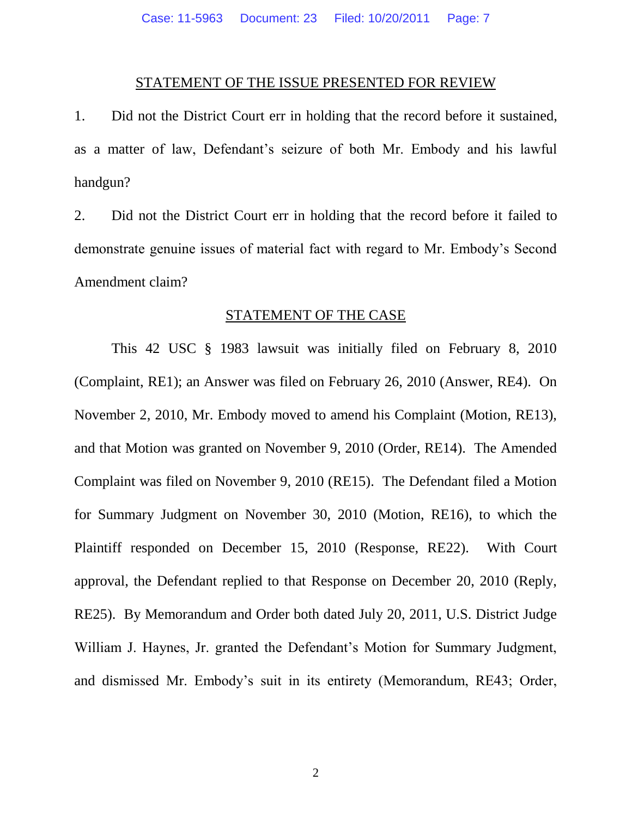#### STATEMENT OF THE ISSUE PRESENTED FOR REVIEW

1. Did not the District Court err in holding that the record before it sustained, as a matter of law, Defendant's seizure of both Mr. Embody and his lawful handgun?

2. Did not the District Court err in holding that the record before it failed to demonstrate genuine issues of material fact with regard to Mr. Embody's Second Amendment claim?

### STATEMENT OF THE CASE

This 42 USC § 1983 lawsuit was initially filed on February 8, 2010 (Complaint, RE1); an Answer was filed on February 26, 2010 (Answer, RE4). On November 2, 2010, Mr. Embody moved to amend his Complaint (Motion, RE13), and that Motion was granted on November 9, 2010 (Order, RE14). The Amended Complaint was filed on November 9, 2010 (RE15). The Defendant filed a Motion for Summary Judgment on November 30, 2010 (Motion, RE16), to which the Plaintiff responded on December 15, 2010 (Response, RE22). With Court approval, the Defendant replied to that Response on December 20, 2010 (Reply, RE25). By Memorandum and Order both dated July 20, 2011, U.S. District Judge William J. Haynes, Jr. granted the Defendant's Motion for Summary Judgment, and dismissed Mr. Embody's suit in its entirety (Memorandum, RE43; Order,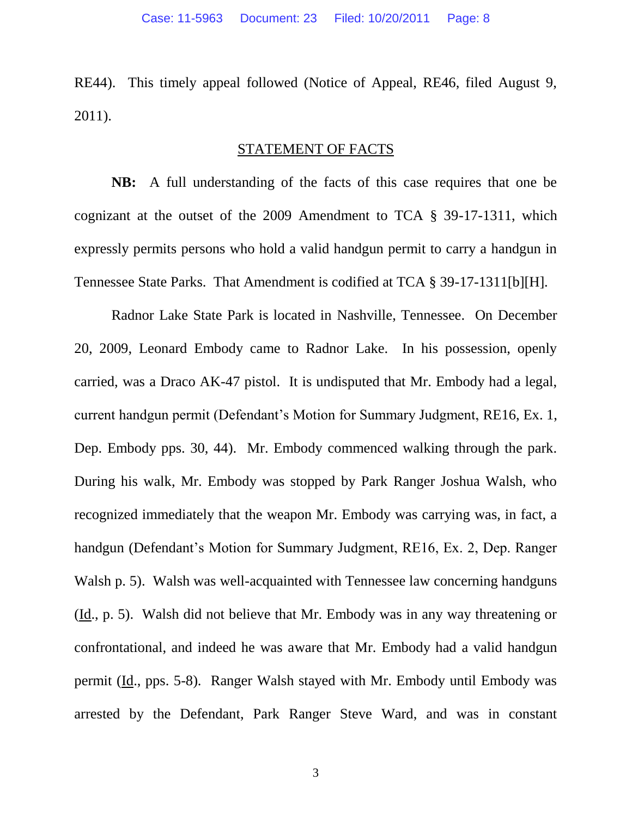RE44). This timely appeal followed (Notice of Appeal, RE46, filed August 9, 2011).

### STATEMENT OF FACTS

**NB:** A full understanding of the facts of this case requires that one be cognizant at the outset of the 2009 Amendment to TCA § 39-17-1311, which expressly permits persons who hold a valid handgun permit to carry a handgun in Tennessee State Parks. That Amendment is codified at TCA § 39-17-1311[b][H].

Radnor Lake State Park is located in Nashville, Tennessee. On December 20, 2009, Leonard Embody came to Radnor Lake. In his possession, openly carried, was a Draco AK-47 pistol. It is undisputed that Mr. Embody had a legal, current handgun permit (Defendant's Motion for Summary Judgment, RE16, Ex. 1, Dep. Embody pps. 30, 44). Mr. Embody commenced walking through the park. During his walk, Mr. Embody was stopped by Park Ranger Joshua Walsh, who recognized immediately that the weapon Mr. Embody was carrying was, in fact, a handgun (Defendant's Motion for Summary Judgment, RE16, Ex. 2, Dep. Ranger Walsh p. 5). Walsh was well-acquainted with Tennessee law concerning handguns (Id., p. 5). Walsh did not believe that Mr. Embody was in any way threatening or confrontational, and indeed he was aware that Mr. Embody had a valid handgun permit (Id., pps. 5-8). Ranger Walsh stayed with Mr. Embody until Embody was arrested by the Defendant, Park Ranger Steve Ward, and was in constant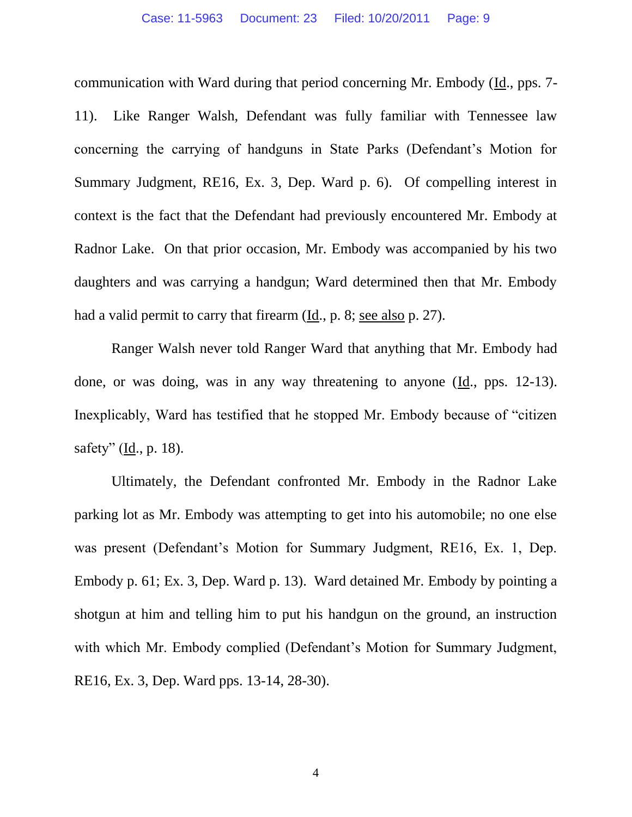communication with Ward during that period concerning Mr. Embody (Id., pps. 7- 11). Like Ranger Walsh, Defendant was fully familiar with Tennessee law concerning the carrying of handguns in State Parks (Defendant's Motion for Summary Judgment, RE16, Ex. 3, Dep. Ward p. 6). Of compelling interest in context is the fact that the Defendant had previously encountered Mr. Embody at Radnor Lake. On that prior occasion, Mr. Embody was accompanied by his two daughters and was carrying a handgun; Ward determined then that Mr. Embody had a valid permit to carry that firearm (Id., p. 8; see also p. 27).

Ranger Walsh never told Ranger Ward that anything that Mr. Embody had done, or was doing, was in any way threatening to anyone (Id., pps. 12-13). Inexplicably, Ward has testified that he stopped Mr. Embody because of "citizen safety" (Id., p. 18).

Ultimately, the Defendant confronted Mr. Embody in the Radnor Lake parking lot as Mr. Embody was attempting to get into his automobile; no one else was present (Defendant's Motion for Summary Judgment, RE16, Ex. 1, Dep. Embody p. 61; Ex. 3, Dep. Ward p. 13). Ward detained Mr. Embody by pointing a shotgun at him and telling him to put his handgun on the ground, an instruction with which Mr. Embody complied (Defendant's Motion for Summary Judgment, RE16, Ex. 3, Dep. Ward pps. 13-14, 28-30).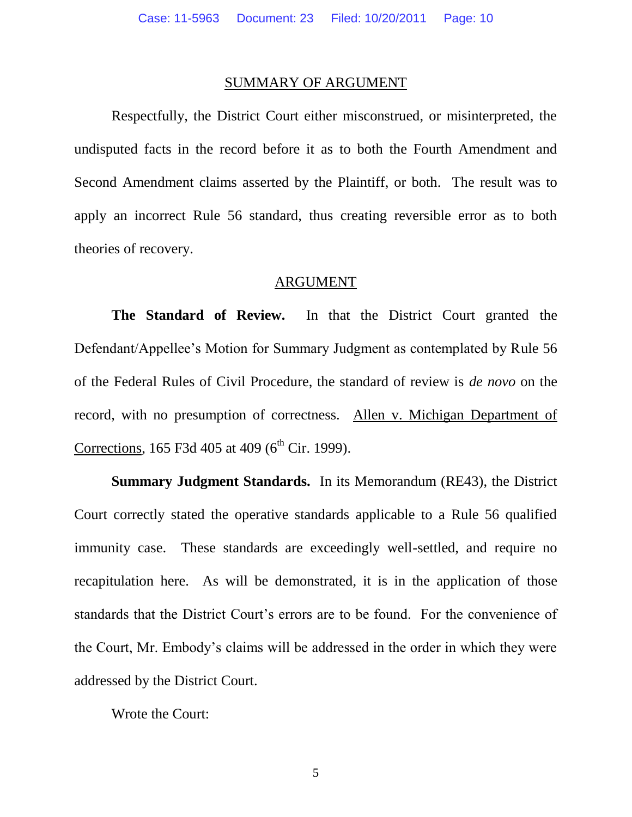#### SUMMARY OF ARGUMENT

Respectfully, the District Court either misconstrued, or misinterpreted, the undisputed facts in the record before it as to both the Fourth Amendment and Second Amendment claims asserted by the Plaintiff, or both. The result was to apply an incorrect Rule 56 standard, thus creating reversible error as to both theories of recovery.

#### ARGUMENT

**The Standard of Review.** In that the District Court granted the Defendant/Appellee's Motion for Summary Judgment as contemplated by Rule 56 of the Federal Rules of Civil Procedure, the standard of review is *de novo* on the record, with no presumption of correctness. Allen v. Michigan Department of Corrections, 165 F3d 405 at 409 ( $6<sup>th</sup>$  Cir. 1999).

**Summary Judgment Standards.** In its Memorandum (RE43), the District Court correctly stated the operative standards applicable to a Rule 56 qualified immunity case. These standards are exceedingly well-settled, and require no recapitulation here. As will be demonstrated, it is in the application of those standards that the District Court's errors are to be found. For the convenience of the Court, Mr. Embody's claims will be addressed in the order in which they were addressed by the District Court.

Wrote the Court: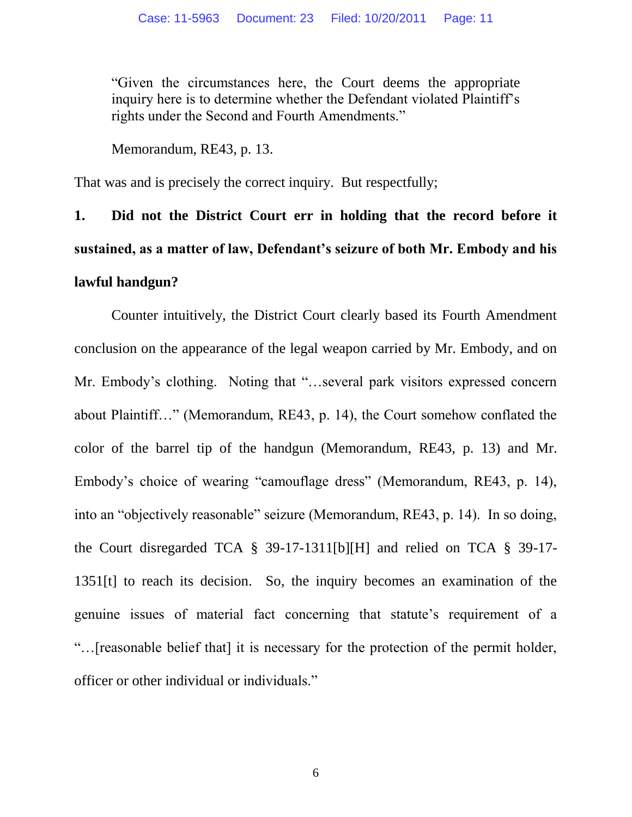"Given the circumstances here, the Court deems the appropriate inquiry here is to determine whether the Defendant violated Plaintiff's rights under the Second and Fourth Amendments."

Memorandum, RE43, p. 13.

That was and is precisely the correct inquiry. But respectfully;

**1. Did not the District Court err in holding that the record before it sustained, as a matter of law, Defendant's seizure of both Mr. Embody and his lawful handgun?**

Counter intuitively, the District Court clearly based its Fourth Amendment conclusion on the appearance of the legal weapon carried by Mr. Embody, and on Mr. Embody's clothing. Noting that "…several park visitors expressed concern about Plaintiff…" (Memorandum, RE43, p. 14), the Court somehow conflated the color of the barrel tip of the handgun (Memorandum, RE43, p. 13) and Mr. Embody's choice of wearing "camouflage dress" (Memorandum, RE43, p. 14), into an "objectively reasonable" seizure (Memorandum, RE43, p. 14). In so doing, the Court disregarded TCA § 39-17-1311[b][H] and relied on TCA § 39-17- 1351[t] to reach its decision. So, the inquiry becomes an examination of the genuine issues of material fact concerning that statute's requirement of a "…[reasonable belief that] it is necessary for the protection of the permit holder, officer or other individual or individuals."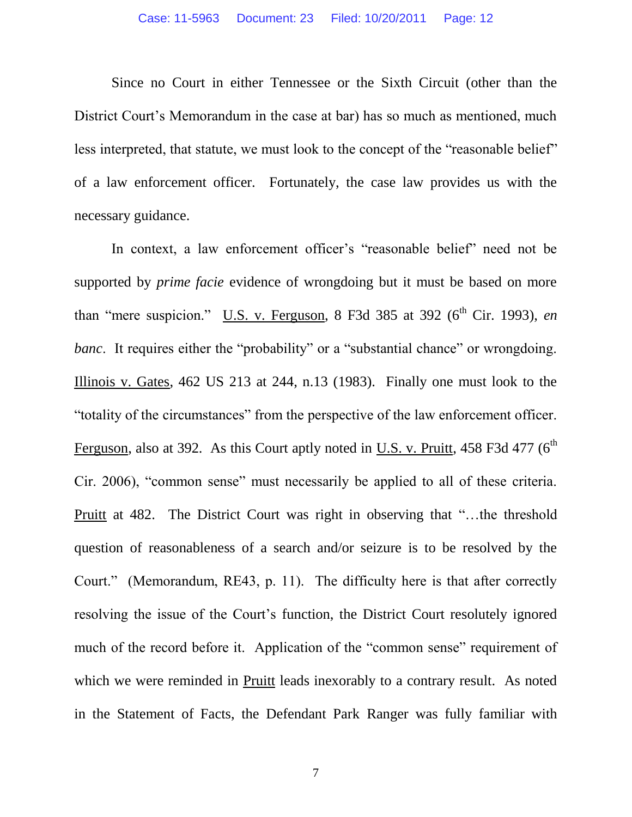Since no Court in either Tennessee or the Sixth Circuit (other than the District Court's Memorandum in the case at bar) has so much as mentioned, much less interpreted, that statute, we must look to the concept of the "reasonable belief" of a law enforcement officer. Fortunately, the case law provides us with the necessary guidance.

In context, a law enforcement officer's "reasonable belief" need not be supported by *prime facie* evidence of wrongdoing but it must be based on more than "mere suspicion." U.S. v. Ferguson, 8 F3d 385 at 392 ( $6<sup>th</sup>$  Cir. 1993), *en banc*. It requires either the "probability" or a "substantial chance" or wrongdoing. Illinois v. Gates, 462 US 213 at 244, n.13 (1983). Finally one must look to the "totality of the circumstances" from the perspective of the law enforcement officer. Ferguson, also at 392. As this Court aptly noted in U.S. v. Pruitt,  $458$  F3d  $477$  ( $6<sup>th</sup>$ Cir. 2006), "common sense" must necessarily be applied to all of these criteria. Pruitt at 482. The District Court was right in observing that "…the threshold question of reasonableness of a search and/or seizure is to be resolved by the Court." (Memorandum, RE43, p. 11). The difficulty here is that after correctly resolving the issue of the Court's function, the District Court resolutely ignored much of the record before it. Application of the "common sense" requirement of which we were reminded in Pruitt leads inexorably to a contrary result. As noted in the Statement of Facts, the Defendant Park Ranger was fully familiar with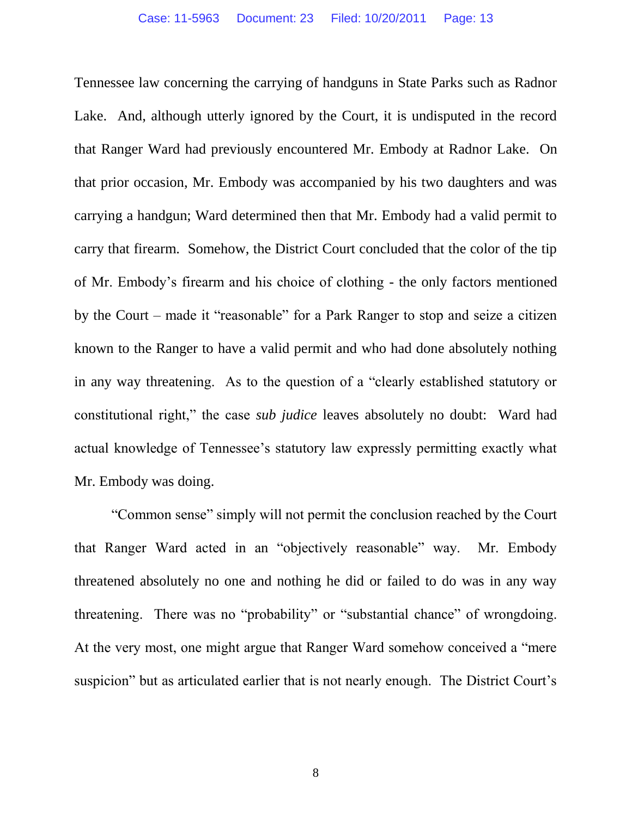Tennessee law concerning the carrying of handguns in State Parks such as Radnor Lake. And, although utterly ignored by the Court, it is undisputed in the record that Ranger Ward had previously encountered Mr. Embody at Radnor Lake. On that prior occasion, Mr. Embody was accompanied by his two daughters and was carrying a handgun; Ward determined then that Mr. Embody had a valid permit to carry that firearm. Somehow, the District Court concluded that the color of the tip of Mr. Embody's firearm and his choice of clothing - the only factors mentioned by the Court – made it "reasonable" for a Park Ranger to stop and seize a citizen known to the Ranger to have a valid permit and who had done absolutely nothing in any way threatening. As to the question of a "clearly established statutory or constitutional right," the case *sub judice* leaves absolutely no doubt: Ward had actual knowledge of Tennessee's statutory law expressly permitting exactly what Mr. Embody was doing.

"Common sense" simply will not permit the conclusion reached by the Court that Ranger Ward acted in an "objectively reasonable" way. Mr. Embody threatened absolutely no one and nothing he did or failed to do was in any way threatening. There was no "probability" or "substantial chance" of wrongdoing. At the very most, one might argue that Ranger Ward somehow conceived a "mere suspicion" but as articulated earlier that is not nearly enough. The District Court's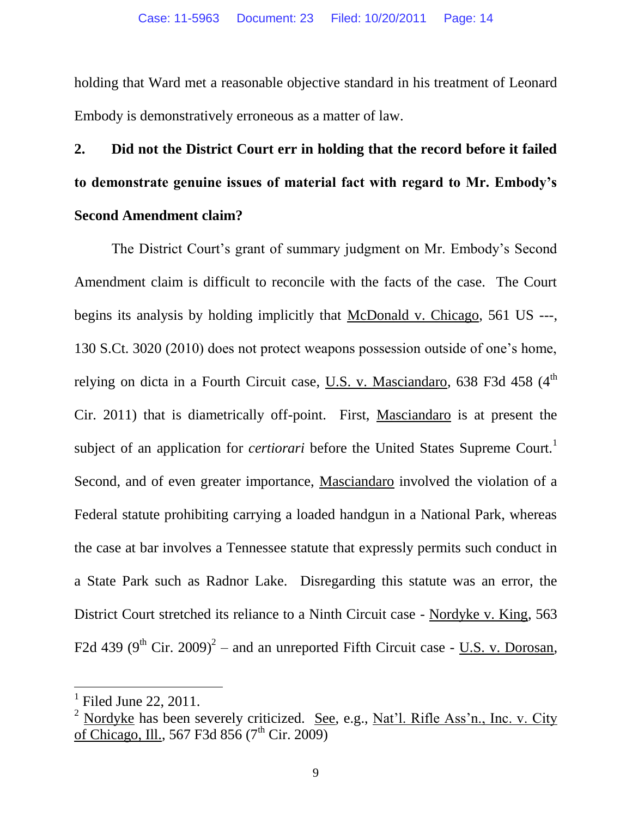holding that Ward met a reasonable objective standard in his treatment of Leonard Embody is demonstratively erroneous as a matter of law.

# **2. Did not the District Court err in holding that the record before it failed to demonstrate genuine issues of material fact with regard to Mr. Embody's Second Amendment claim?**

The District Court's grant of summary judgment on Mr. Embody's Second Amendment claim is difficult to reconcile with the facts of the case. The Court begins its analysis by holding implicitly that McDonald v. Chicago, 561 US ---, 130 S.Ct. 3020 (2010) does not protect weapons possession outside of one's home, relying on dicta in a Fourth Circuit case, U.S. v. Masciandaro,  $638$  F3d  $458$  ( $4<sup>th</sup>$ ) Cir. 2011) that is diametrically off-point. First, Masciandaro is at present the subject of an application for *certiorari* before the United States Supreme Court.<sup>1</sup> Second, and of even greater importance, Masciandaro involved the violation of a Federal statute prohibiting carrying a loaded handgun in a National Park, whereas the case at bar involves a Tennessee statute that expressly permits such conduct in a State Park such as Radnor Lake. Disregarding this statute was an error, the District Court stretched its reliance to a Ninth Circuit case - Nordyke v. King, 563 F2d 439 (9<sup>th</sup> Cir. 2009)<sup>2</sup> – and an unreported Fifth Circuit case - <u>U.S. v. Dorosan</u>,

 $\overline{a}$ 

 $<sup>1</sup>$  Filed June 22, 2011.</sup>

<sup>&</sup>lt;sup>2</sup> Nordyke has been severely criticized. See, e.g., Nat'l. Rifle Ass'n., Inc. v. City of Chicago, Ill., 567 F3d 856 (7<sup>th</sup> Cir. 2009)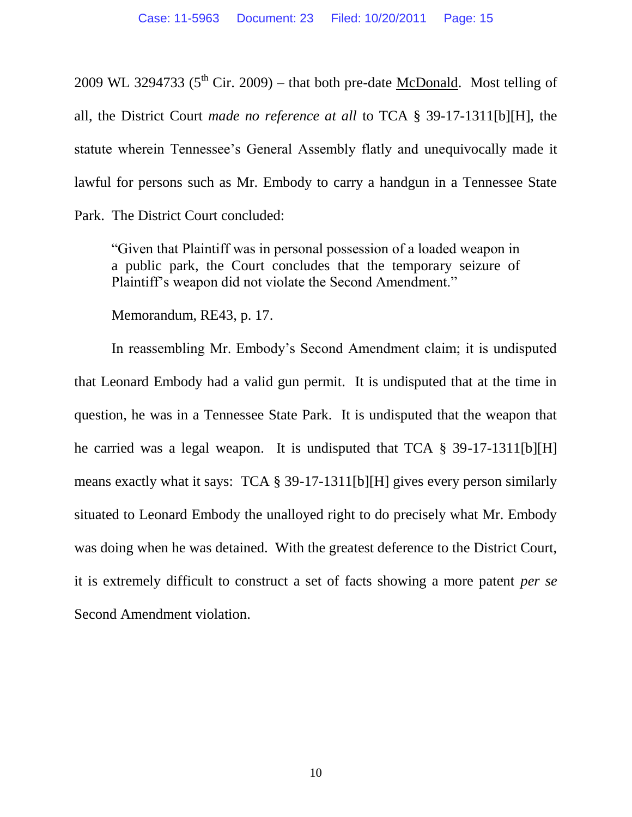2009 WL 3294733 ( $5<sup>th</sup>$  Cir. 2009) – that both pre-date McDonald. Most telling of all, the District Court *made no reference at all* to TCA § 39-17-1311[b][H], the statute wherein Tennessee's General Assembly flatly and unequivocally made it lawful for persons such as Mr. Embody to carry a handgun in a Tennessee State Park. The District Court concluded:

"Given that Plaintiff was in personal possession of a loaded weapon in a public park, the Court concludes that the temporary seizure of Plaintiff's weapon did not violate the Second Amendment."

Memorandum, RE43, p. 17.

In reassembling Mr. Embody's Second Amendment claim; it is undisputed that Leonard Embody had a valid gun permit. It is undisputed that at the time in question, he was in a Tennessee State Park. It is undisputed that the weapon that he carried was a legal weapon. It is undisputed that TCA § 39-17-1311[b][H] means exactly what it says: TCA § 39-17-1311[b][H] gives every person similarly situated to Leonard Embody the unalloyed right to do precisely what Mr. Embody was doing when he was detained. With the greatest deference to the District Court, it is extremely difficult to construct a set of facts showing a more patent *per se* Second Amendment violation.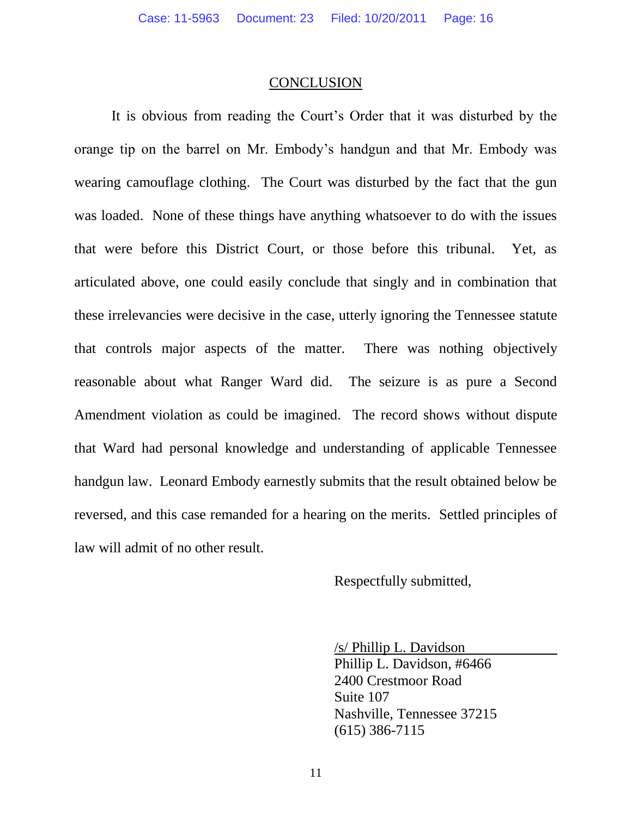#### **CONCLUSION**

It is obvious from reading the Court's Order that it was disturbed by the orange tip on the barrel on Mr. Embody's handgun and that Mr. Embody was wearing camouflage clothing. The Court was disturbed by the fact that the gun was loaded. None of these things have anything whatsoever to do with the issues that were before this District Court, or those before this tribunal. Yet, as articulated above, one could easily conclude that singly and in combination that these irrelevancies were decisive in the case, utterly ignoring the Tennessee statute that controls major aspects of the matter. There was nothing objectively reasonable about what Ranger Ward did. The seizure is as pure a Second Amendment violation as could be imagined. The record shows without dispute that Ward had personal knowledge and understanding of applicable Tennessee handgun law. Leonard Embody earnestly submits that the result obtained below be reversed, and this case remanded for a hearing on the merits. Settled principles of law will admit of no other result.

Respectfully submitted,

/s/ Phillip L. Davidson Phillip L. Davidson, #6466

2400 Crestmoor Road Suite 107 Nashville, Tennessee 37215 (615) 386-7115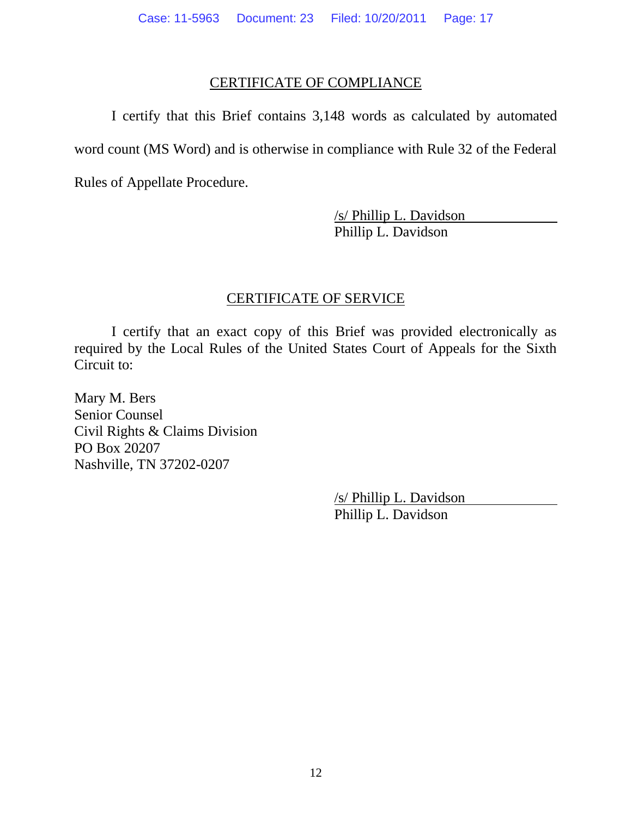### CERTIFICATE OF COMPLIANCE

I certify that this Brief contains 3,148 words as calculated by automated word count (MS Word) and is otherwise in compliance with Rule 32 of the Federal

Rules of Appellate Procedure.

/s/ Phillip L. Davidson Phillip L. Davidson

### CERTIFICATE OF SERVICE

I certify that an exact copy of this Brief was provided electronically as required by the Local Rules of the United States Court of Appeals for the Sixth Circuit to:

Mary M. Bers Senior Counsel Civil Rights & Claims Division PO Box 20207 Nashville, TN 37202-0207

> /s/ Phillip L. Davidson Phillip L. Davidson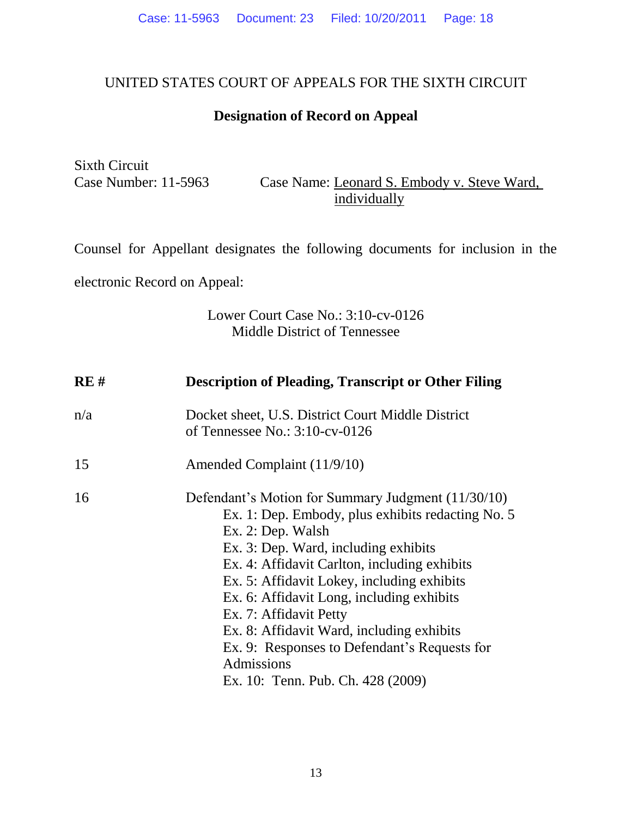## UNITED STATES COURT OF APPEALS FOR THE SIXTH CIRCUIT

## **Designation of Record on Appeal**

Sixth Circuit

Case Number: 11-5963 Case Name: Leonard S. Embody v. Steve Ward, individually

Counsel for Appellant designates the following documents for inclusion in the

electronic Record on Appeal:

## Lower Court Case No.: 3:10-cv-0126 Middle District of Tennessee

| RE# | <b>Description of Pleading, Transcript or Other Filing</b>                                                                                                                                                                                                                                                                                                                                                                                                                                |
|-----|-------------------------------------------------------------------------------------------------------------------------------------------------------------------------------------------------------------------------------------------------------------------------------------------------------------------------------------------------------------------------------------------------------------------------------------------------------------------------------------------|
| n/a | Docket sheet, U.S. District Court Middle District<br>of Tennessee No.: $3:10$ -cv-0126                                                                                                                                                                                                                                                                                                                                                                                                    |
| 15  | Amended Complaint (11/9/10)                                                                                                                                                                                                                                                                                                                                                                                                                                                               |
| 16  | Defendant's Motion for Summary Judgment (11/30/10)<br>Ex. 1: Dep. Embody, plus exhibits redacting No. 5<br>Ex. 2: Dep. Walsh<br>Ex. 3: Dep. Ward, including exhibits<br>Ex. 4: Affidavit Carlton, including exhibits<br>Ex. 5: Affidavit Lokey, including exhibits<br>Ex. 6: Affidavit Long, including exhibits<br>Ex. 7: Affidavit Petty<br>Ex. 8: Affidavit Ward, including exhibits<br>Ex. 9: Responses to Defendant's Requests for<br>Admissions<br>Ex. 10: Tenn. Pub. Ch. 428 (2009) |